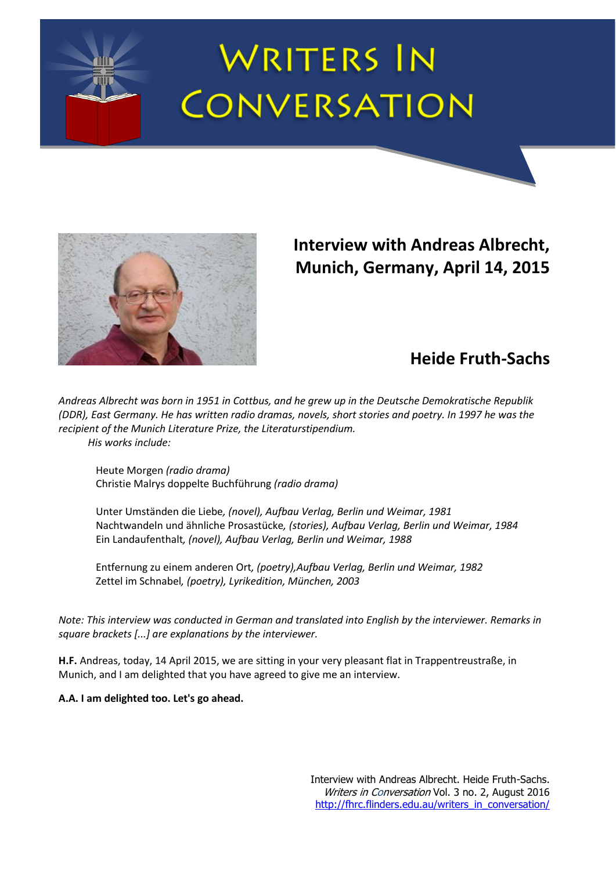# **WRITERS IN CONVERSATION**



## **Interview with Andreas Albrecht, Munich, Germany, April 14, 2015**

## **Heide Fruth-Sachs**

*Andreas Albrecht was born in 1951 in Cottbus, and he grew up in the Deutsche Demokratische Republik (DDR), East Germany. He has written radio dramas, novels, short stories and poetry. In 1997 he was the recipient of the Munich Literature Prize, the Literaturstipendium. His works include:*

Heute Morgen *(radio drama)*

Christie Malrys doppelte Buchführung *(radio drama)*

Unter Umständen die Liebe*, (novel), Aufbau Verlag, Berlin und Weimar, 1981*  Nachtwandeln und ähnliche Prosastücke*, (stories), Aufbau Verlag, Berlin und Weimar, 1984* Ein Landaufenthalt*, (novel), Aufbau Verlag, Berlin und Weimar, 1988*

Entfernung zu einem anderen Ort*, (poetry),Aufbau Verlag, Berlin und Weimar, 1982* Zettel im Schnabel*, (poetry), Lyrikedition, München, 2003*

*Note: This interview was conducted in German and translated into English by the interviewer. Remarks in square brackets [...] are explanations by the interviewer.* 

**H.F.** Andreas, today, 14 April 2015, we are sitting in your very pleasant flat in Trappentreustraße, in Munich, and I am delighted that you have agreed to give me an interview.

**A.A. I am delighted too. Let's go ahead.**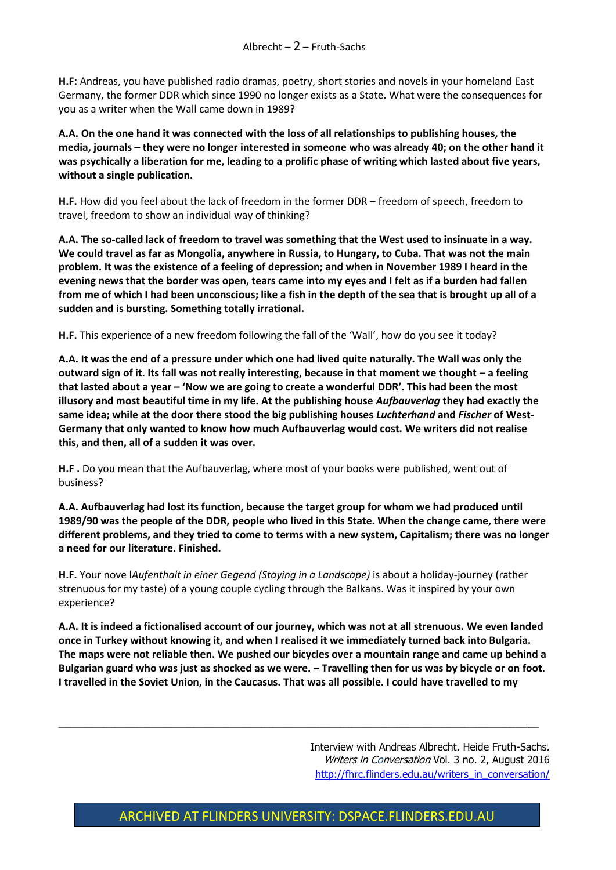**H.F:** Andreas, you have published radio dramas, poetry, short stories and novels in your homeland East Germany, the former DDR which since 1990 no longer exists as a State. What were the consequences for you as a writer when the Wall came down in 1989?

**A.A. On the one hand it was connected with the loss of all relationships to publishing houses, the media, journals – they were no longer interested in someone who was already 40; on the other hand it was psychically a liberation for me, leading to a prolific phase of writing which lasted about five years, without a single publication.**

**H.F.** How did you feel about the lack of freedom in the former DDR – freedom of speech, freedom to travel, freedom to show an individual way of thinking?

**A.A. The so-called lack of freedom to travel was something that the West used to insinuate in a way. We could travel as far as Mongolia, anywhere in Russia, to Hungary, to Cuba. That was not the main problem. It was the existence of a feeling of depression; and when in November 1989 I heard in the evening news that the border was open, tears came into my eyes and I felt as if a burden had fallen from me of which I had been unconscious; like a fish in the depth of the sea that is brought up all of a sudden and is bursting. Something totally irrational.**

**H.F.** This experience of a new freedom following the fall of the 'Wall', how do you see it today?

**A.A. It was the end of a pressure under which one had lived quite naturally. The Wall was only the outward sign of it. Its fall was not really interesting, because in that moment we thought – a feeling that lasted about a year – 'Now we are going to create a wonderful DDR'. This had been the most illusory and most beautiful time in my life. At the publishing house** *Aufbauverlag* **they had exactly the same idea; while at the door there stood the big publishing houses** *Luchterhand* **and** *Fischer* **of West-Germany that only wanted to know how much Aufbauverlag would cost. We writers did not realise this, and then, all of a sudden it was over.**

**H.F .** Do you mean that the Aufbauverlag, where most of your books were published, went out of business?

**A.A. Aufbauverlag had lost its function, because the target group for whom we had produced until 1989/90 was the people of the DDR, people who lived in this State. When the change came, there were different problems, and they tried to come to terms with a new system, Capitalism; there was no longer a need for our literature. Finished.** 

**H.F.** Your nove l*Aufenthalt in einer Gegend (Staying in a Landscape)* is about a holiday-journey (rather strenuous for my taste) of a young couple cycling through the Balkans. Was it inspired by your own experience?

**A.A. It is indeed a fictionalised account of our journey, which was not at all strenuous. We even landed once in Turkey without knowing it, and when I realised it we immediately turned back into Bulgaria. The maps were not reliable then. We pushed our bicycles over a mountain range and came up behind a Bulgarian guard who was just as shocked as we were. – Travelling then for us was by bicycle or on foot. I travelled in the Soviet Union, in the Caucasus. That was all possible. I could have travelled to my** 

 $\_$  , and the set of the set of the set of the set of the set of the set of the set of the set of the set of the set of the set of the set of the set of the set of the set of the set of the set of the set of the set of th

Interview with Andreas Albrecht. Heide Fruth-Sachs. Writers in Conversation Vol. 3 no. 2, August 2016 [http://fhrc.flinders.edu.au/writers\\_in\\_conversation/](http://fhrc.flinders.edu.au/writers_in_conversation/)

#### ARCHIVED AT FLINDERS UNIVERSITY: DSPACE.FLINDERS.EDU.AU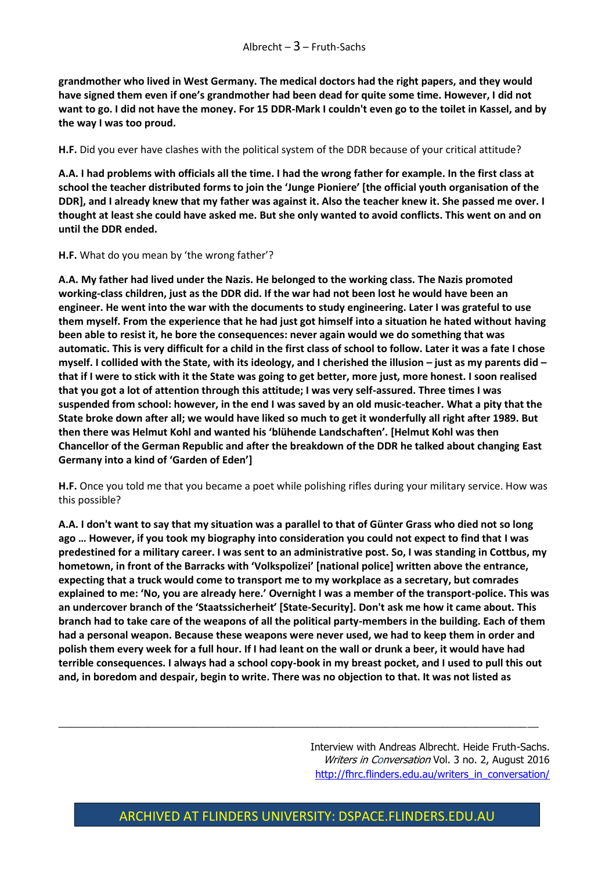**grandmother who lived in West Germany. The medical doctors had the right papers, and they would have signed them even if one's grandmother had been dead for quite some time. However, I did not want to go. I did not have the money. For 15 DDR-Mark I couldn't even go to the toilet in Kassel, and by the way I was too proud.**

**H.F.** Did you ever have clashes with the political system of the DDR because of your critical attitude?

**A.A. I had problems with officials all the time. I had the wrong father for example. In the first class at school the teacher distributed forms to join the 'Junge Pioniere' [the official youth organisation of the DDR], and I already knew that my father was against it. Also the teacher knew it. She passed me over. I thought at least she could have asked me. But she only wanted to avoid conflicts. This went on and on until the DDR ended.**

**H.F.** What do you mean by 'the wrong father'?

**A.A. My father had lived under the Nazis. He belonged to the working class. The Nazis promoted working-class children, just as the DDR did. If the war had not been lost he would have been an engineer. He went into the war with the documents to study engineering. Later I was grateful to use them myself. From the experience that he had just got himself into a situation he hated without having been able to resist it, he bore the consequences: never again would we do something that was automatic. This is very difficult for a child in the first class of school to follow. Later it was a fate I chose myself. I collided with the State, with its ideology, and I cherished the illusion – just as my parents did – that if I were to stick with it the State was going to get better, more just, more honest. I soon realised that you got a lot of attention through this attitude; I was very self-assured. Three times I was suspended from school: however, in the end I was saved by an old music-teacher. What a pity that the State broke down after all; we would have liked so much to get it wonderfully all right after 1989. But then there was Helmut Kohl and wanted his 'blühende Landschaften'. [Helmut Kohl was then Chancellor of the German Republic and after the breakdown of the DDR he talked about changing East Germany into a kind of 'Garden of Eden']**

**H.F.** Once you told me that you became a poet while polishing rifles during your military service. How was this possible?

**A.A. I don't want to say that my situation was a parallel to that of Günter Grass who died not so long ago … However, if you took my biography into consideration you could not expect to find that I was predestined for a military career. I was sent to an administrative post. So, I was standing in Cottbus, my hometown, in front of the Barracks with 'Volkspolizei' [national police] written above the entrance, expecting that a truck would come to transport me to my workplace as a secretary, but comrades explained to me: 'No, you are already here.' Overnight I was a member of the transport-police. This was an undercover branch of the 'Staatssicherheit' [State-Security]. Don't ask me how it came about. This branch had to take care of the weapons of all the political party-members in the building. Each of them had a personal weapon. Because these weapons were never used, we had to keep them in order and polish them every week for a full hour. If I had leant on the wall or drunk a beer, it would have had terrible consequences. I always had a school copy-book in my breast pocket, and I used to pull this out and, in boredom and despair, begin to write. There was no objection to that. It was not listed as** 

> Interview with Andreas Albrecht. Heide Fruth-Sachs. Writers in Conversation Vol. 3 no. 2, August 2016 [http://fhrc.flinders.edu.au/writers\\_in\\_conversation/](http://fhrc.flinders.edu.au/writers_in_conversation/)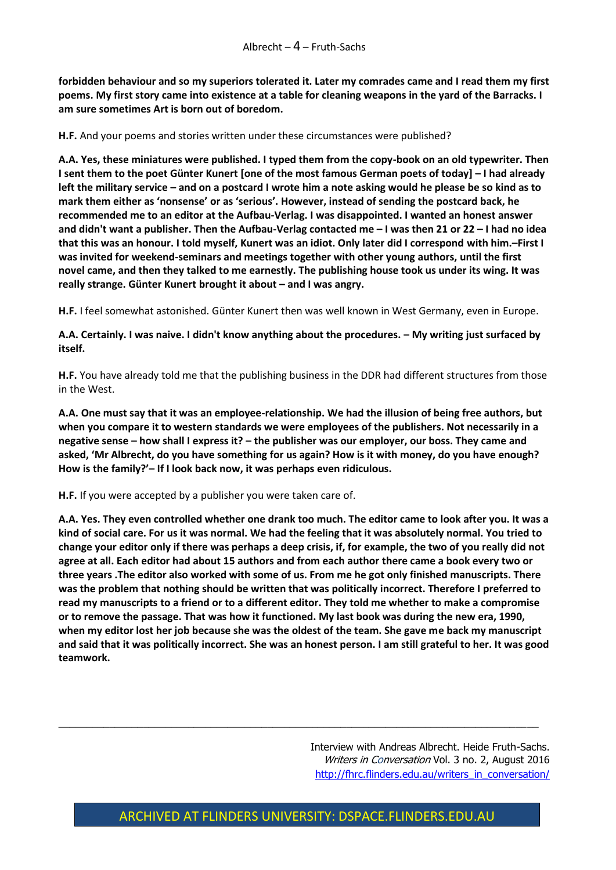**forbidden behaviour and so my superiors tolerated it. Later my comrades came and I read them my first poems. My first story came into existence at a table for cleaning weapons in the yard of the Barracks. I am sure sometimes Art is born out of boredom.**

**H.F.** And your poems and stories written under these circumstances were published?

**A.A. Yes, these miniatures were published. I typed them from the copy-book on an old typewriter. Then I sent them to the poet Günter Kunert [one of the most famous German poets of today] – I had already left the military service – and on a postcard I wrote him a note asking would he please be so kind as to mark them either as 'nonsense' or as 'serious'. However, instead of sending the postcard back, he recommended me to an editor at the Aufbau-Verlag. I was disappointed. I wanted an honest answer and didn't want a publisher. Then the Aufbau-Verlag contacted me – I was then 21 or 22 – I had no idea that this was an honour. I told myself, Kunert was an idiot. Only later did I correspond with him.–First I was invited for weekend-seminars and meetings together with other young authors, until the first novel came, and then they talked to me earnestly. The publishing house took us under its wing. It was really strange. Günter Kunert brought it about – and I was angry.**

**H.F.** I feel somewhat astonished. Günter Kunert then was well known in West Germany, even in Europe.

**A.A. Certainly. I was naive. I didn't know anything about the procedures. – My writing just surfaced by itself.**

**H.F.** You have already told me that the publishing business in the DDR had different structures from those in the West.

**A.A. One must say that it was an employee-relationship. We had the illusion of being free authors, but when you compare it to western standards we were employees of the publishers. Not necessarily in a negative sense – how shall I express it? – the publisher was our employer, our boss. They came and asked, 'Mr Albrecht, do you have something for us again? How is it with money, do you have enough? How is the family?'– If I look back now, it was perhaps even ridiculous.**

**H.F.** If you were accepted by a publisher you were taken care of.

**A.A. Yes. They even controlled whether one drank too much. The editor came to look after you. It was a kind of social care. For us it was normal. We had the feeling that it was absolutely normal. You tried to change your editor only if there was perhaps a deep crisis, if, for example, the two of you really did not agree at all. Each editor had about 15 authors and from each author there came a book every two or three years .The editor also worked with some of us. From me he got only finished manuscripts. There was the problem that nothing should be written that was politically incorrect. Therefore I preferred to read my manuscripts to a friend or to a different editor. They told me whether to make a compromise or to remove the passage. That was how it functioned. My last book was during the new era, 1990, when my editor lost her job because she was the oldest of the team. She gave me back my manuscript and said that it was politically incorrect. She was an honest person. I am still grateful to her. It was good teamwork.**

> Interview with Andreas Albrecht. Heide Fruth-Sachs. Writers in Conversation Vol. 3 no. 2, August 2016 [http://fhrc.flinders.edu.au/writers\\_in\\_conversation/](http://fhrc.flinders.edu.au/writers_in_conversation/)

#### ARCHIVED AT FLINDERS UNIVERSITY: DSPACE.FLINDERS.EDU.AU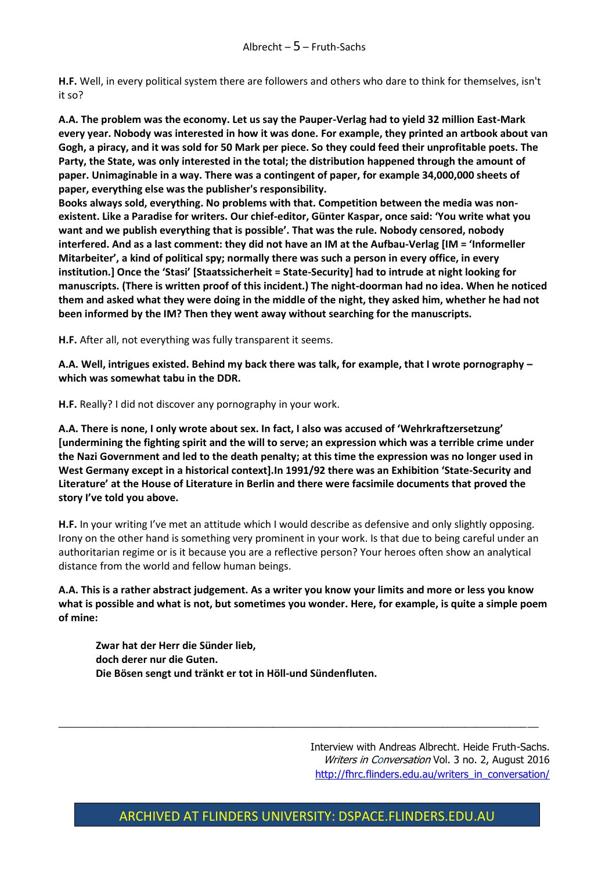**H.F.** Well, in every political system there are followers and others who dare to think for themselves, isn't it so?

**A.A. The problem was the economy. Let us say the Pauper-Verlag had to yield 32 million East-Mark every year. Nobody was interested in how it was done. For example, they printed an artbook about van Gogh, a piracy, and it was sold for 50 Mark per piece. So they could feed their unprofitable poets. The Party, the State, was only interested in the total; the distribution happened through the amount of paper. Unimaginable in a way. There was a contingent of paper, for example 34,000,000 sheets of paper, everything else was the publisher's responsibility.**

**Books always sold, everything. No problems with that. Competition between the media was nonexistent. Like a Paradise for writers. Our chief-editor, Günter Kaspar, once said: 'You write what you want and we publish everything that is possible'. That was the rule. Nobody censored, nobody interfered. And as a last comment: they did not have an IM at the Aufbau-Verlag [IM = 'Informeller Mitarbeiter', a kind of political spy; normally there was such a person in every office, in every institution.] Once the 'Stasi' [Staatssicherheit = State-Security] had to intrude at night looking for manuscripts. (There is written proof of this incident.) The night-doorman had no idea. When he noticed them and asked what they were doing in the middle of the night, they asked him, whether he had not been informed by the IM? Then they went away without searching for the manuscripts.**

**H.F.** After all, not everything was fully transparent it seems.

**A.A. Well, intrigues existed. Behind my back there was talk, for example, that I wrote pornography – which was somewhat tabu in the DDR.**

**H.F.** Really? I did not discover any pornography in your work.

**A.A. There is none, I only wrote about sex. In fact, I also was accused of 'Wehrkraftzersetzung' [undermining the fighting spirit and the will to serve; an expression which was a terrible crime under the Nazi Government and led to the death penalty; at this time the expression was no longer used in West Germany except in a historical context].In 1991/92 there was an Exhibition 'State-Security and Literature' at the House of Literature in Berlin and there were facsimile documents that proved the story I've told you above.** 

**H.F.** In your writing I've met an attitude which I would describe as defensive and only slightly opposing. Irony on the other hand is something very prominent in your work. Is that due to being careful under an authoritarian regime or is it because you are a reflective person? Your heroes often show an analytical distance from the world and fellow human beings.

**A.A. This is a rather abstract judgement. As a writer you know your limits and more or less you know what is possible and what is not, but sometimes you wonder. Here, for example, is quite a simple poem of mine:** 

**Zwar hat der Herr die Sünder lieb, doch derer nur die Guten. Die Bösen sengt und tränkt er tot in Höll-und Sündenfluten.** 

> Interview with Andreas Albrecht. Heide Fruth-Sachs. Writers in Conversation Vol. 3 no. 2, August 2016 [http://fhrc.flinders.edu.au/writers\\_in\\_conversation/](http://fhrc.flinders.edu.au/writers_in_conversation/)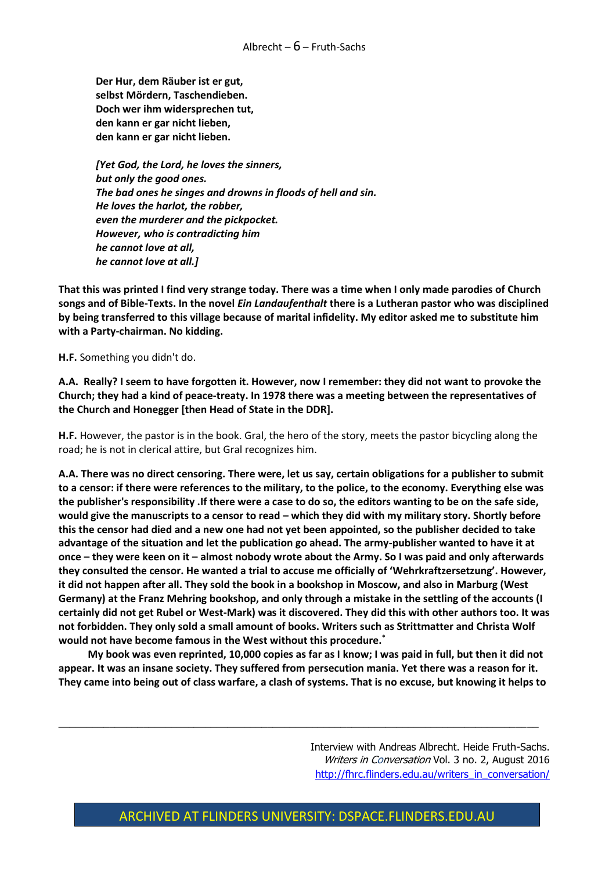**Der Hur, dem Räuber ist er gut, selbst Mördern, Taschendieben. Doch wer ihm widersprechen tut, den kann er gar nicht lieben, den kann er gar nicht lieben.**

*[Yet God, the Lord, he loves the sinners, but only the good ones. The bad ones he singes and drowns in floods of hell and sin. He loves the harlot, the robber, even the murderer and the pickpocket. However, who is contradicting him he cannot love at all, he cannot love at all.]*

**That this was printed I find very strange today. There was a time when I only made parodies of Church songs and of Bible-Texts. In the novel** *Ein Landaufenthalt* **there is a Lutheran pastor who was disciplined by being transferred to this village because of marital infidelity. My editor asked me to substitute him with a Party-chairman. No kidding.**

**H.F.** Something you didn't do.

**A.A. Really? I seem to have forgotten it. However, now I remember: they did not want to provoke the Church; they had a kind of peace-treaty. In 1978 there was a meeting between the representatives of the Church and Honegger [then Head of State in the DDR].**

**H.F.** However, the pastor is in the book. Gral, the hero of the story, meets the pastor bicycling along the road; he is not in clerical attire, but Gral recognizes him.

**A.A. There was no direct censoring. There were, let us say, certain obligations for a publisher to submit to a censor: if there were references to the military, to the police, to the economy. Everything else was the publisher's responsibility .If there were a case to do so, the editors wanting to be on the safe side, would give the manuscripts to a censor to read – which they did with my military story. Shortly before this the censor had died and a new one had not yet been appointed, so the publisher decided to take advantage of the situation and let the publication go ahead. The army-publisher wanted to have it at once – they were keen on it – almost nobody wrote about the Army. So I was paid and only afterwards they consulted the censor. He wanted a trial to accuse me officially of 'Wehrkraftzersetzung'. However, it did not happen after all. They sold the book in a bookshop in Moscow, and also in Marburg (West Germany) at the Franz Mehring bookshop, and only through a mistake in the settling of the accounts (I certainly did not get Rubel or West-Mark) was it discovered. They did this with other authors too. It was not forbidden. They only sold a small amount of books. Writers such as Strittmatter and Christa Wolf would not have become famous in the West without this procedure.\***

**My book was even reprinted, 10,000 copies as far as I know; I was paid in full, but then it did not appear. It was an insane society. They suffered from persecution mania. Yet there was a reason for it. They came into being out of class warfare, a clash of systems. That is no excuse, but knowing it helps to** 

 $\_$  , and the set of the set of the set of the set of the set of the set of the set of the set of the set of the set of the set of the set of the set of the set of the set of the set of the set of the set of the set of th

Interview with Andreas Albrecht. Heide Fruth-Sachs. Writers in Conversation Vol. 3 no. 2, August 2016 [http://fhrc.flinders.edu.au/writers\\_in\\_conversation/](http://fhrc.flinders.edu.au/writers_in_conversation/)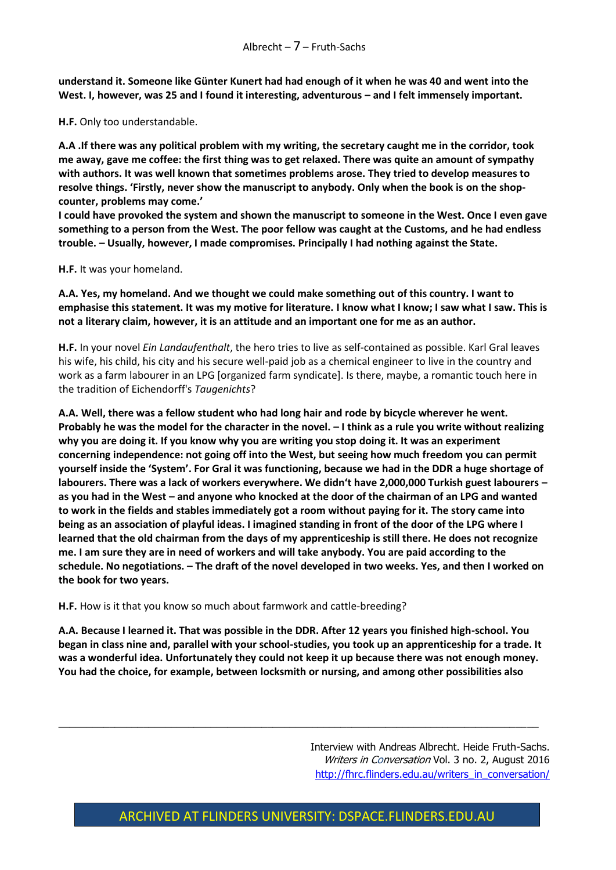**understand it. Someone like Günter Kunert had had enough of it when he was 40 and went into the**  West. I, however, was 25 and I found it interesting, adventurous - and I felt immensely important.

**H.F.** Only too understandable.

**A.A .If there was any political problem with my writing, the secretary caught me in the corridor, took me away, gave me coffee: the first thing was to get relaxed. There was quite an amount of sympathy with authors. It was well known that sometimes problems arose. They tried to develop measures to resolve things. 'Firstly, never show the manuscript to anybody. Only when the book is on the shopcounter, problems may come.'**

**I could have provoked the system and shown the manuscript to someone in the West. Once I even gave something to a person from the West. The poor fellow was caught at the Customs, and he had endless trouble. – Usually, however, I made compromises. Principally I had nothing against the State.**

**H.F.** It was your homeland.

**A.A. Yes, my homeland. And we thought we could make something out of this country. I want to emphasise this statement. It was my motive for literature. I know what I know; I saw what I saw. This is not a literary claim, however, it is an attitude and an important one for me as an author.**

**H.F.** In your novel *Ein Landaufenthalt*, the hero tries to live as self-contained as possible. Karl Gral leaves his wife, his child, his city and his secure well-paid job as a chemical engineer to live in the country and work as a farm labourer in an LPG [organized farm syndicate]. Is there, maybe, a romantic touch here in the tradition of Eichendorff's *Taugenichts*?

**A.A. Well, there was a fellow student who had long hair and rode by bicycle wherever he went. Probably he was the model for the character in the novel. – I think as a rule you write without realizing why you are doing it. If you know why you are writing you stop doing it. It was an experiment concerning independence: not going off into the West, but seeing how much freedom you can permit yourself inside the 'System'. For Gral it was functioning, because we had in the DDR a huge shortage of labourers. There was a lack of workers everywhere. We didn't have 2,000,000 Turkish guest labourers – as you had in the West – and anyone who knocked at the door of the chairman of an LPG and wanted to work in the fields and stables immediately got a room without paying for it. The story came into being as an association of playful ideas. I imagined standing in front of the door of the LPG where I learned that the old chairman from the days of my apprenticeship is still there. He does not recognize me. I am sure they are in need of workers and will take anybody. You are paid according to the schedule. No negotiations. – The draft of the novel developed in two weeks. Yes, and then I worked on the book for two years.**

**H.F.** How is it that you know so much about farmwork and cattle-breeding?

**A.A. Because I learned it. That was possible in the DDR. After 12 years you finished high-school. You began in class nine and, parallel with your school-studies, you took up an apprenticeship for a trade. It was a wonderful idea. Unfortunately they could not keep it up because there was not enough money. You had the choice, for example, between locksmith or nursing, and among other possibilities also** 

 $\_$  , and the set of the set of the set of the set of the set of the set of the set of the set of the set of the set of the set of the set of the set of the set of the set of the set of the set of the set of the set of th

Interview with Andreas Albrecht. Heide Fruth-Sachs. Writers in Conversation Vol. 3 no. 2, August 2016 [http://fhrc.flinders.edu.au/writers\\_in\\_conversation/](http://fhrc.flinders.edu.au/writers_in_conversation/)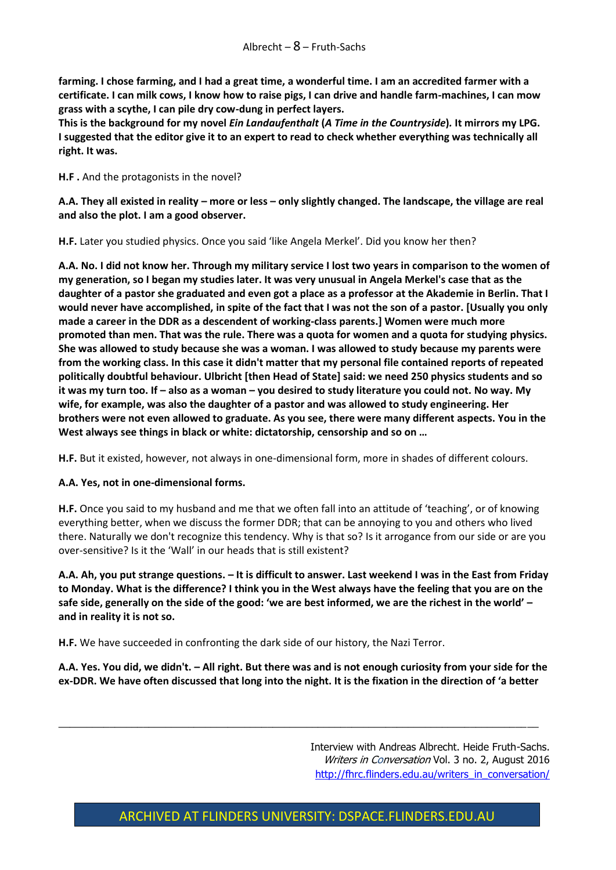**farming. I chose farming, and I had a great time, a wonderful time. I am an accredited farmer with a certificate. I can milk cows, I know how to raise pigs, I can drive and handle farm-machines, I can mow grass with a scythe, I can pile dry cow-dung in perfect layers.**

**This is the background for my novel** *Ein Landaufenthalt* **(***A Time in the Countryside***)***.* **It mirrors my LPG. I suggested that the editor give it to an expert to read to check whether everything was technically all right. It was.**

**H.F .** And the protagonists in the novel?

**A.A. They all existed in reality – more or less – only slightly changed. The landscape, the village are real and also the plot. I am a good observer.** 

**H.F.** Later you studied physics. Once you said 'like Angela Merkel'. Did you know her then?

**A.A. No. I did not know her. Through my military service I lost two years in comparison to the women of my generation, so I began my studies later. It was very unusual in Angela Merkel's case that as the daughter of a pastor she graduated and even got a place as a professor at the Akademie in Berlin. That I would never have accomplished, in spite of the fact that I was not the son of a pastor. [Usually you only made a career in the DDR as a descendent of working-class parents.] Women were much more promoted than men. That was the rule. There was a quota for women and a quota for studying physics. She was allowed to study because she was a woman. I was allowed to study because my parents were from the working class. In this case it didn't matter that my personal file contained reports of repeated politically doubtful behaviour. Ulbricht [then Head of State] said: we need 250 physics students and so it was my turn too. If – also as a woman – you desired to study literature you could not. No way. My wife, for example, was also the daughter of a pastor and was allowed to study engineering. Her brothers were not even allowed to graduate. As you see, there were many different aspects. You in the West always see things in black or white: dictatorship, censorship and so on …**

**H.F.** But it existed, however, not always in one-dimensional form, more in shades of different colours.

#### **A.A. Yes, not in one-dimensional forms.**

**H.F.** Once you said to my husband and me that we often fall into an attitude of 'teaching', or of knowing everything better, when we discuss the former DDR; that can be annoying to you and others who lived there. Naturally we don't recognize this tendency. Why is that so? Is it arrogance from our side or are you over-sensitive? Is it the 'Wall' in our heads that is still existent?

**A.A. Ah, you put strange questions. – It is difficult to answer. Last weekend I was in the East from Friday to Monday. What is the difference? I think you in the West always have the feeling that you are on the safe side, generally on the side of the good: 'we are best informed, we are the richest in the world' – and in reality it is not so.**

**H.F.** We have succeeded in confronting the dark side of our history, the Nazi Terror.

**A.A. Yes. You did, we didn't. – All right. But there was and is not enough curiosity from your side for the ex-DDR. We have often discussed that long into the night. It is the fixation in the direction of 'a better** 

 $\_$  , and the set of the set of the set of the set of the set of the set of the set of the set of the set of the set of the set of the set of the set of the set of the set of the set of the set of the set of the set of th

Interview with Andreas Albrecht. Heide Fruth-Sachs. Writers in Conversation Vol. 3 no. 2, August 2016 [http://fhrc.flinders.edu.au/writers\\_in\\_conversation/](http://fhrc.flinders.edu.au/writers_in_conversation/)

#### ARCHIVED AT FLINDERS UNIVERSITY: DSPACE.FLINDERS.EDU.AU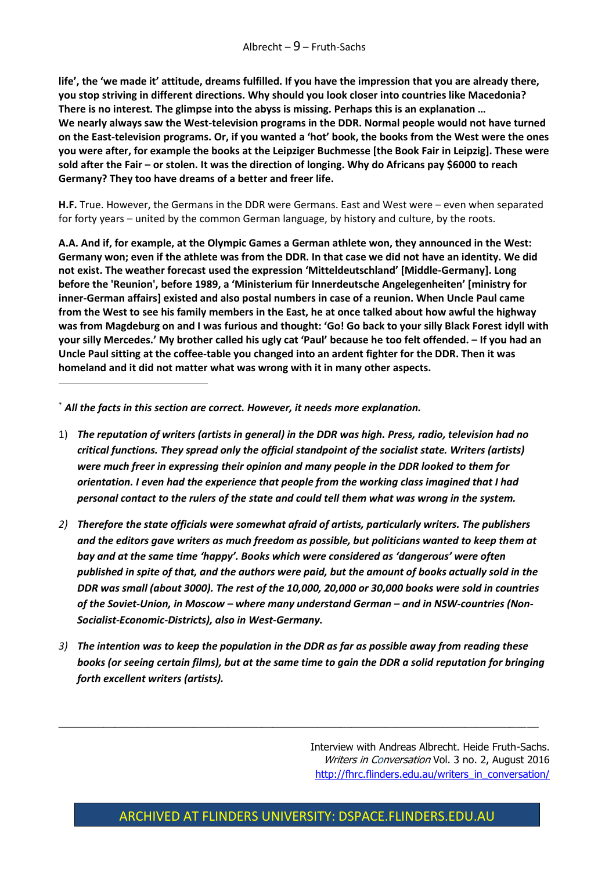**life', the 'we made it' attitude, dreams fulfilled. If you have the impression that you are already there, you stop striving in different directions. Why should you look closer into countries like Macedonia? There is no interest. The glimpse into the abyss is missing. Perhaps this is an explanation … We nearly always saw the West-television programs in the DDR. Normal people would not have turned on the East-television programs. Or, if you wanted a 'hot' book, the books from the West were the ones you were after, for example the books at the Leipziger Buchmesse [the Book Fair in Leipzig]. These were sold after the Fair – or stolen. It was the direction of longing. Why do Africans pay \$6000 to reach Germany? They too have dreams of a better and freer life.**

**H.F.** True. However, the Germans in the DDR were Germans. East and West were – even when separated for forty years – united by the common German language, by history and culture, by the roots.

**A.A. And if, for example, at the Olympic Games a German athlete won, they announced in the West: Germany won; even if the athlete was from the DDR. In that case we did not have an identity. We did not exist. The weather forecast used the expression 'Mitteldeutschland' [Middle-Germany]. Long before the 'Reunion', before 1989, a 'Ministerium für Innerdeutsche Angelegenheiten' [ministry for inner-German affairs] existed and also postal numbers in case of a reunion. When Uncle Paul came from the West to see his family members in the East, he at once talked about how awful the highway was from Magdeburg on and I was furious and thought: 'Go! Go back to your silly Black Forest idyll with your silly Mercedes.' My brother called his ugly cat 'Paul' because he too felt offended. – If you had an Uncle Paul sitting at the coffee-table you changed into an ardent fighter for the DDR. Then it was homeland and it did not matter what was wrong with it in many other aspects.**

\* *All the facts in this section are correct. However, it needs more explanation.*

**.** 

- 1) *The reputation of writers (artists in general) in the DDR was high. Press, radio, television had no critical functions. They spread only the official standpoint of the socialist state. Writers (artists) were much freer in expressing their opinion and many people in the DDR looked to them for orientation. I even had the experience that people from the working class imagined that I had personal contact to the rulers of the state and could tell them what was wrong in the system.*
- *2) Therefore the state officials were somewhat afraid of artists, particularly writers. The publishers and the editors gave writers as much freedom as possible, but politicians wanted to keep them at bay and at the same time 'happy'. Books which were considered as 'dangerous' were often published in spite of that, and the authors were paid, but the amount of books actually sold in the DDR was small (about 3000). The rest of the 10,000, 20,000 or 30,000 books were sold in countries of the Soviet-Union, in Moscow – where many understand German – and in NSW-countries (Non-Socialist-Economic-Districts), also in West-Germany.*
- *3) The intention was to keep the population in the DDR as far as possible away from reading these books (or seeing certain films), but at the same time to gain the DDR a solid reputation for bringing forth excellent writers (artists).*

 $\_$  , and the set of the set of the set of the set of the set of the set of the set of the set of the set of the set of the set of the set of the set of the set of the set of the set of the set of the set of the set of th

Interview with Andreas Albrecht. Heide Fruth-Sachs. Writers in Conversation Vol. 3 no. 2, August 2016 [http://fhrc.flinders.edu.au/writers\\_in\\_conversation/](http://fhrc.flinders.edu.au/writers_in_conversation/)

#### ARCHIVED AT FLINDERS UNIVERSITY: DSPACE.FLINDERS.EDU.AU